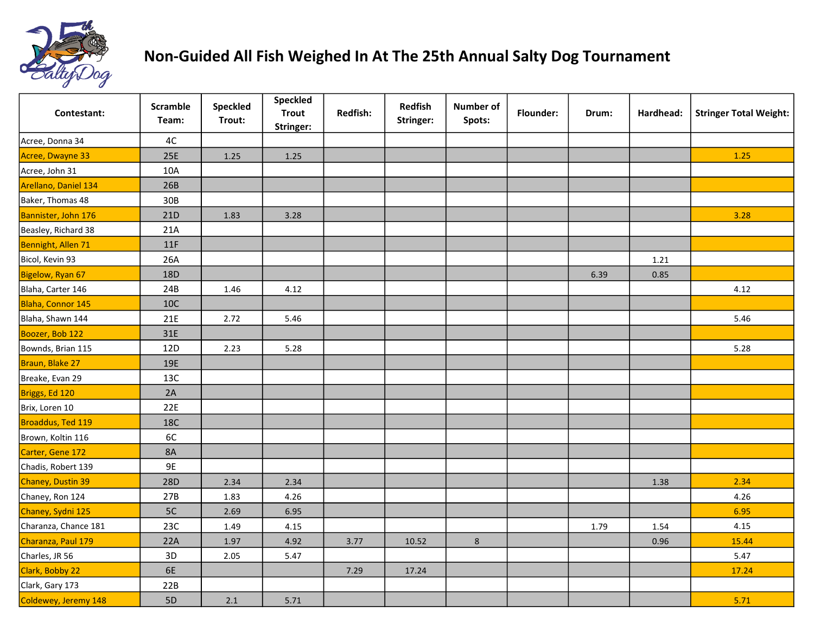

| Contestant:          | Scramble<br>Team: | Speckled<br>Trout: | Speckled<br><b>Trout</b><br>Stringer: | Redfish: | <b>Redfish</b><br>Stringer: | <b>Number of</b><br>Spots: | Flounder: | Drum: | Hardhead: | <b>Stringer Total Weight:</b> |
|----------------------|-------------------|--------------------|---------------------------------------|----------|-----------------------------|----------------------------|-----------|-------|-----------|-------------------------------|
| Acree, Donna 34      | 4C                |                    |                                       |          |                             |                            |           |       |           |                               |
| Acree, Dwayne 33     | 25E               | 1.25               | 1.25                                  |          |                             |                            |           |       |           | 1.25                          |
| Acree, John 31       | 10A               |                    |                                       |          |                             |                            |           |       |           |                               |
| Arellano, Daniel 134 | 26B               |                    |                                       |          |                             |                            |           |       |           |                               |
| Baker, Thomas 48     | 30B               |                    |                                       |          |                             |                            |           |       |           |                               |
| Bannister, John 176  | 21D               | 1.83               | 3.28                                  |          |                             |                            |           |       |           | 3.28                          |
| Beasley, Richard 38  | 21A               |                    |                                       |          |                             |                            |           |       |           |                               |
| Bennight, Allen 71   | 11F               |                    |                                       |          |                             |                            |           |       |           |                               |
| Bicol, Kevin 93      | 26A               |                    |                                       |          |                             |                            |           |       | 1.21      |                               |
| Bigelow, Ryan 67     | 18D               |                    |                                       |          |                             |                            |           | 6.39  | 0.85      |                               |
| Blaha, Carter 146    | 24B               | 1.46               | 4.12                                  |          |                             |                            |           |       |           | 4.12                          |
| Blaha, Connor 145    | <b>10C</b>        |                    |                                       |          |                             |                            |           |       |           |                               |
| Blaha, Shawn 144     | 21E               | 2.72               | 5.46                                  |          |                             |                            |           |       |           | 5.46                          |
| Boozer, Bob 122      | 31E               |                    |                                       |          |                             |                            |           |       |           |                               |
| Bownds, Brian 115    | 12D               | 2.23               | 5.28                                  |          |                             |                            |           |       |           | 5.28                          |
| Braun, Blake 27      | 19E               |                    |                                       |          |                             |                            |           |       |           |                               |
| Breake, Evan 29      | 13C               |                    |                                       |          |                             |                            |           |       |           |                               |
| Briggs, Ed 120       | 2A                |                    |                                       |          |                             |                            |           |       |           |                               |
| Brix, Loren 10       | 22E               |                    |                                       |          |                             |                            |           |       |           |                               |
| Broaddus, Ted 119    | <b>18C</b>        |                    |                                       |          |                             |                            |           |       |           |                               |
| Brown, Koltin 116    | 6C                |                    |                                       |          |                             |                            |           |       |           |                               |
| Carter, Gene 172     | <b>8A</b>         |                    |                                       |          |                             |                            |           |       |           |                               |
| Chadis, Robert 139   | <b>9E</b>         |                    |                                       |          |                             |                            |           |       |           |                               |
| Chaney, Dustin 39    | 28D               | 2.34               | 2.34                                  |          |                             |                            |           |       | 1.38      | 2.34                          |
| Chaney, Ron 124      | 27B               | 1.83               | 4.26                                  |          |                             |                            |           |       |           | 4.26                          |
| Chaney, Sydni 125    | 5C                | 2.69               | 6.95                                  |          |                             |                            |           |       |           | 6.95                          |
| Charanza, Chance 181 | 23C               | 1.49               | 4.15                                  |          |                             |                            |           | 1.79  | 1.54      | 4.15                          |
| Charanza, Paul 179   | 22A               | 1.97               | 4.92                                  | 3.77     | 10.52                       | $\,8\,$                    |           |       | 0.96      | 15.44                         |
| Charles, JR 56       | 3D                | 2.05               | 5.47                                  |          |                             |                            |           |       |           | 5.47                          |
| Clark, Bobby 22      | 6E                |                    |                                       | 7.29     | 17.24                       |                            |           |       |           | 17.24                         |
| Clark, Gary 173      | 22B               |                    |                                       |          |                             |                            |           |       |           |                               |
| Coldewey, Jeremy 148 | 5D                | 2.1                | 5.71                                  |          |                             |                            |           |       |           | 5.71                          |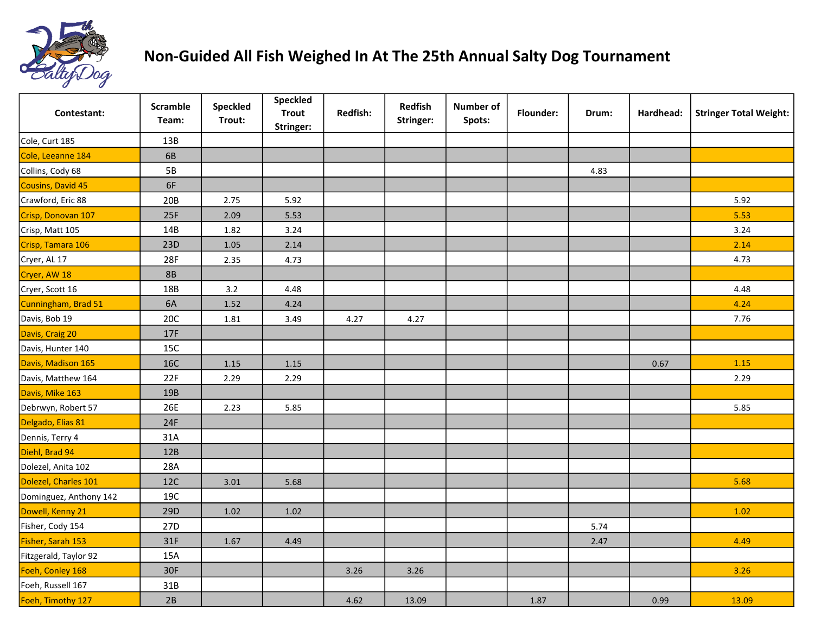

| Contestant:            | Scramble<br>Team: | Speckled<br>Trout: | Speckled<br><b>Trout</b><br>Stringer: | Redfish: | <b>Redfish</b><br>Stringer: | <b>Number of</b><br>Spots: | <b>Flounder:</b> | Drum: | Hardhead: | <b>Stringer Total Weight:</b> |
|------------------------|-------------------|--------------------|---------------------------------------|----------|-----------------------------|----------------------------|------------------|-------|-----------|-------------------------------|
| Cole, Curt 185         | 13B               |                    |                                       |          |                             |                            |                  |       |           |                               |
| Cole, Leeanne 184      | 6B                |                    |                                       |          |                             |                            |                  |       |           |                               |
| Collins, Cody 68       | 5B                |                    |                                       |          |                             |                            |                  | 4.83  |           |                               |
| Cousins, David 45      | 6F                |                    |                                       |          |                             |                            |                  |       |           |                               |
| Crawford, Eric 88      | 20B               | 2.75               | 5.92                                  |          |                             |                            |                  |       |           | 5.92                          |
| Crisp, Donovan 107     | 25F               | 2.09               | 5.53                                  |          |                             |                            |                  |       |           | 5.53                          |
| Crisp, Matt 105        | 14B               | 1.82               | 3.24                                  |          |                             |                            |                  |       |           | 3.24                          |
| Crisp, Tamara 106      | 23D               | 1.05               | 2.14                                  |          |                             |                            |                  |       |           | 2.14                          |
| Cryer, AL 17           | 28F               | 2.35               | 4.73                                  |          |                             |                            |                  |       |           | 4.73                          |
| Cryer, AW 18           | <b>8B</b>         |                    |                                       |          |                             |                            |                  |       |           |                               |
| Cryer, Scott 16        | 18B               | 3.2                | 4.48                                  |          |                             |                            |                  |       |           | 4.48                          |
| Cunningham, Brad 51    | 6A                | 1.52               | 4.24                                  |          |                             |                            |                  |       |           | 4.24                          |
| Davis, Bob 19          | 20C               | 1.81               | 3.49                                  | 4.27     | 4.27                        |                            |                  |       |           | 7.76                          |
| Davis, Craig 20        | 17F               |                    |                                       |          |                             |                            |                  |       |           |                               |
| Davis, Hunter 140      | 15C               |                    |                                       |          |                             |                            |                  |       |           |                               |
| Davis, Madison 165     | <b>16C</b>        | 1.15               | 1.15                                  |          |                             |                            |                  |       | 0.67      | 1.15                          |
| Davis, Matthew 164     | 22F               | 2.29               | 2.29                                  |          |                             |                            |                  |       |           | 2.29                          |
| Davis, Mike 163        | 19B               |                    |                                       |          |                             |                            |                  |       |           |                               |
| Debrwyn, Robert 57     | 26E               | 2.23               | 5.85                                  |          |                             |                            |                  |       |           | 5.85                          |
| Delgado, Elias 81      | 24F               |                    |                                       |          |                             |                            |                  |       |           |                               |
| Dennis, Terry 4        | 31A               |                    |                                       |          |                             |                            |                  |       |           |                               |
| Diehl, Brad 94         | 12B               |                    |                                       |          |                             |                            |                  |       |           |                               |
| Dolezel, Anita 102     | 28A               |                    |                                       |          |                             |                            |                  |       |           |                               |
| Dolezel, Charles 101   | <b>12C</b>        | 3.01               | 5.68                                  |          |                             |                            |                  |       |           | 5.68                          |
| Dominguez, Anthony 142 | 19C               |                    |                                       |          |                             |                            |                  |       |           |                               |
| Dowell, Kenny 21       | 29D               | 1.02               | 1.02                                  |          |                             |                            |                  |       |           | 1.02                          |
| Fisher, Cody 154       | 27D               |                    |                                       |          |                             |                            |                  | 5.74  |           |                               |
| Fisher, Sarah 153      | 31F               | 1.67               | 4.49                                  |          |                             |                            |                  | 2.47  |           | 4.49                          |
| Fitzgerald, Taylor 92  | 15A               |                    |                                       |          |                             |                            |                  |       |           |                               |
| Foeh, Conley 168       | 30F               |                    |                                       | 3.26     | 3.26                        |                            |                  |       |           | 3.26                          |
| Foeh, Russell 167      | 31B               |                    |                                       |          |                             |                            |                  |       |           |                               |
| Foeh, Timothy 127      | 2B                |                    |                                       | 4.62     | 13.09                       |                            | 1.87             |       | 0.99      | 13.09                         |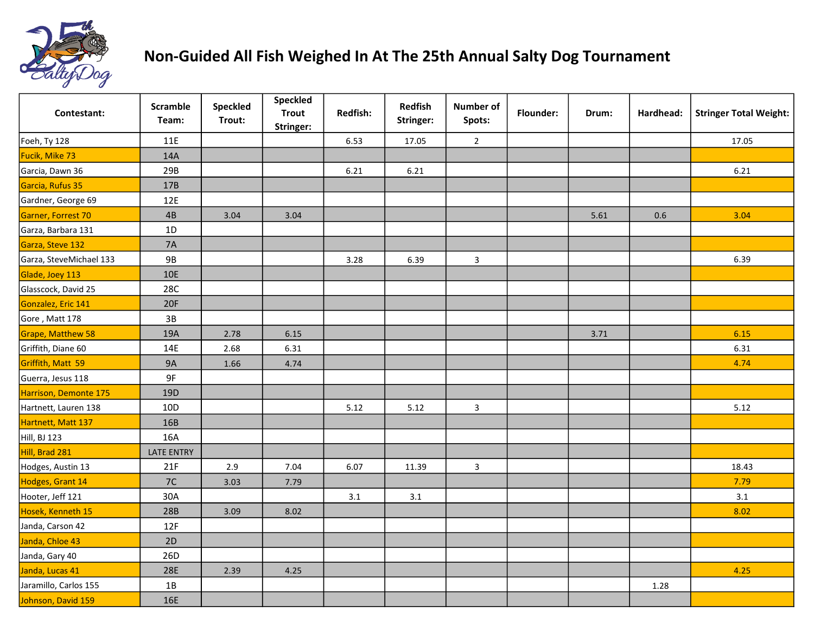

| Contestant:             | Scramble<br>Team: | Speckled<br>Trout: | Speckled<br><b>Trout</b><br><b>Stringer:</b> | Redfish: | <b>Redfish</b><br>Stringer: | <b>Number of</b><br>Spots: | Flounder: | Drum: | Hardhead: | <b>Stringer Total Weight:</b> |
|-------------------------|-------------------|--------------------|----------------------------------------------|----------|-----------------------------|----------------------------|-----------|-------|-----------|-------------------------------|
| Foeh, Ty 128            | 11E               |                    |                                              | 6.53     | 17.05                       | $2^{\circ}$                |           |       |           | 17.05                         |
| Fucik, Mike 73          | 14A               |                    |                                              |          |                             |                            |           |       |           |                               |
| Garcia, Dawn 36         | 29B               |                    |                                              | 6.21     | 6.21                        |                            |           |       |           | 6.21                          |
| Garcia, Rufus 35        | 17B               |                    |                                              |          |                             |                            |           |       |           |                               |
| Gardner, George 69      | 12E               |                    |                                              |          |                             |                            |           |       |           |                               |
| Garner, Forrest 70      | 4B                | 3.04               | 3.04                                         |          |                             |                            |           | 5.61  | 0.6       | 3.04                          |
| Garza, Barbara 131      | 1D                |                    |                                              |          |                             |                            |           |       |           |                               |
| Garza, Steve 132        | 7A                |                    |                                              |          |                             |                            |           |       |           |                               |
| Garza, SteveMichael 133 | <b>9B</b>         |                    |                                              | 3.28     | 6.39                        | $\mathbf{3}$               |           |       |           | 6.39                          |
| Glade, Joey 113         | <b>10E</b>        |                    |                                              |          |                             |                            |           |       |           |                               |
| Glasscock, David 25     | 28C               |                    |                                              |          |                             |                            |           |       |           |                               |
| Gonzalez, Eric 141      | 20F               |                    |                                              |          |                             |                            |           |       |           |                               |
| Gore, Matt 178          | $3B$              |                    |                                              |          |                             |                            |           |       |           |                               |
| Grape, Matthew 58       | 19A               | 2.78               | 6.15                                         |          |                             |                            |           | 3.71  |           | 6.15                          |
| Griffith, Diane 60      | 14E               | 2.68               | 6.31                                         |          |                             |                            |           |       |           | 6.31                          |
| Griffith, Matt 59       | <b>9A</b>         | 1.66               | 4.74                                         |          |                             |                            |           |       |           | 4.74                          |
| Guerra, Jesus 118       | 9F                |                    |                                              |          |                             |                            |           |       |           |                               |
| Harrison, Demonte 175   | 19D               |                    |                                              |          |                             |                            |           |       |           |                               |
| Hartnett, Lauren 138    | 10D               |                    |                                              | 5.12     | 5.12                        | $\mathsf{3}$               |           |       |           | 5.12                          |
| Hartnett, Matt 137      | 16B               |                    |                                              |          |                             |                            |           |       |           |                               |
| Hill, BJ 123            | 16A               |                    |                                              |          |                             |                            |           |       |           |                               |
| Hill, Brad 281          | <b>LATE ENTRY</b> |                    |                                              |          |                             |                            |           |       |           |                               |
| Hodges, Austin 13       | 21F               | 2.9                | 7.04                                         | 6.07     | 11.39                       | $\overline{3}$             |           |       |           | 18.43                         |
| Hodges, Grant 14        | 7C                | 3.03               | 7.79                                         |          |                             |                            |           |       |           | 7.79                          |
| Hooter, Jeff 121        | 30A               |                    |                                              | 3.1      | $3.1\,$                     |                            |           |       |           | 3.1                           |
| Hosek, Kenneth 15       | 28B               | 3.09               | 8.02                                         |          |                             |                            |           |       |           | 8.02                          |
| Janda, Carson 42        | 12F               |                    |                                              |          |                             |                            |           |       |           |                               |
| Janda, Chloe 43         | 2D                |                    |                                              |          |                             |                            |           |       |           |                               |
| Janda, Gary 40          | 26D               |                    |                                              |          |                             |                            |           |       |           |                               |
| Janda, Lucas 41         | 28E               | 2.39               | 4.25                                         |          |                             |                            |           |       |           | 4.25                          |
| Jaramillo, Carlos 155   | 1B                |                    |                                              |          |                             |                            |           |       | 1.28      |                               |
| Johnson, David 159      | 16E               |                    |                                              |          |                             |                            |           |       |           |                               |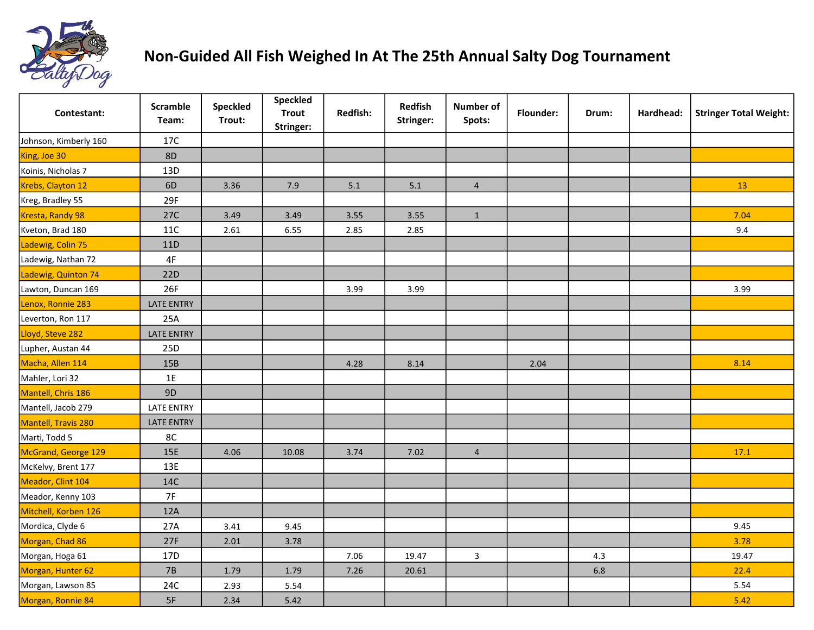

| Contestant:           | <b>Scramble</b><br>Team: | Speckled<br>Trout: | Speckled<br><b>Trout</b><br>Stringer: | Redfish: | Redfish<br>Stringer: | <b>Number of</b><br>Spots: | <b>Flounder:</b> | Drum: | Hardhead: | <b>Stringer Total Weight:</b> |
|-----------------------|--------------------------|--------------------|---------------------------------------|----------|----------------------|----------------------------|------------------|-------|-----------|-------------------------------|
| Johnson, Kimberly 160 | 17C                      |                    |                                       |          |                      |                            |                  |       |           |                               |
| King, Joe 30          | <b>8D</b>                |                    |                                       |          |                      |                            |                  |       |           |                               |
| Koinis, Nicholas 7    | 13D                      |                    |                                       |          |                      |                            |                  |       |           |                               |
| Krebs, Clayton 12     | 6D                       | 3.36               | 7.9                                   | $5.1$    | 5.1                  | $\overline{4}$             |                  |       |           | 13                            |
| Kreg, Bradley 55      | 29F                      |                    |                                       |          |                      |                            |                  |       |           |                               |
| Kresta, Randy 98      | 27C                      | 3.49               | 3.49                                  | 3.55     | 3.55                 | $\mathbf{1}$               |                  |       |           | 7.04                          |
| Kveton, Brad 180      | 11C                      | 2.61               | 6.55                                  | 2.85     | 2.85                 |                            |                  |       |           | 9.4                           |
| Ladewig, Colin 75     | 11D                      |                    |                                       |          |                      |                            |                  |       |           |                               |
| Ladewig, Nathan 72    | 4F                       |                    |                                       |          |                      |                            |                  |       |           |                               |
| Ladewig, Quinton 74   | 22D                      |                    |                                       |          |                      |                            |                  |       |           |                               |
| Lawton, Duncan 169    | 26F                      |                    |                                       | 3.99     | 3.99                 |                            |                  |       |           | 3.99                          |
| Lenox, Ronnie 283     | <b>LATE ENTRY</b>        |                    |                                       |          |                      |                            |                  |       |           |                               |
| Leverton, Ron 117     | 25A                      |                    |                                       |          |                      |                            |                  |       |           |                               |
| Lloyd, Steve 282      | <b>LATE ENTRY</b>        |                    |                                       |          |                      |                            |                  |       |           |                               |
| Lupher, Austan 44     | 25D                      |                    |                                       |          |                      |                            |                  |       |           |                               |
| Macha, Allen 114      | 15B                      |                    |                                       | 4.28     | 8.14                 |                            | 2.04             |       |           | 8.14                          |
| Mahler, Lori 32       | $1E$                     |                    |                                       |          |                      |                            |                  |       |           |                               |
| Mantell, Chris 186    | 9D                       |                    |                                       |          |                      |                            |                  |       |           |                               |
| Mantell, Jacob 279    | <b>LATE ENTRY</b>        |                    |                                       |          |                      |                            |                  |       |           |                               |
| Mantell, Travis 280   | <b>LATE ENTRY</b>        |                    |                                       |          |                      |                            |                  |       |           |                               |
| Marti, Todd 5         | 8C                       |                    |                                       |          |                      |                            |                  |       |           |                               |
| McGrand, George 129   | 15E                      | 4.06               | 10.08                                 | 3.74     | 7.02                 | $\overline{4}$             |                  |       |           | 17.1                          |
| McKelvy, Brent 177    | 13E                      |                    |                                       |          |                      |                            |                  |       |           |                               |
| Meador, Clint 104     | <b>14C</b>               |                    |                                       |          |                      |                            |                  |       |           |                               |
| Meador, Kenny 103     | 7F                       |                    |                                       |          |                      |                            |                  |       |           |                               |
| Mitchell, Korben 126  | 12A                      |                    |                                       |          |                      |                            |                  |       |           |                               |
| Mordica, Clyde 6      | 27A                      | 3.41               | 9.45                                  |          |                      |                            |                  |       |           | 9.45                          |
| Morgan, Chad 86       | 27F                      | 2.01               | 3.78                                  |          |                      |                            |                  |       |           | 3.78                          |
| Morgan, Hoga 61       | 17D                      |                    |                                       | 7.06     | 19.47                | $\mathbf{3}$               |                  | 4.3   |           | 19.47                         |
| Morgan, Hunter 62     | 7B                       | 1.79               | 1.79                                  | 7.26     | 20.61                |                            |                  | 6.8   |           | 22.4                          |
| Morgan, Lawson 85     | 24C                      | 2.93               | 5.54                                  |          |                      |                            |                  |       |           | 5.54                          |
| Morgan, Ronnie 84     | 5F                       | 2.34               | 5.42                                  |          |                      |                            |                  |       |           | 5.42                          |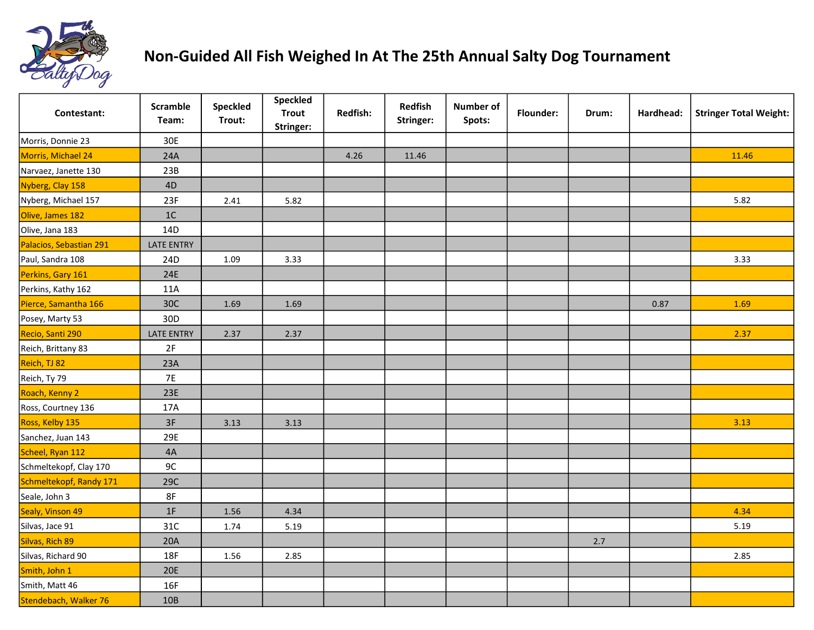

| Contestant:             | Scramble<br>Team: | Speckled<br>Trout: | Speckled<br><b>Trout</b><br>Stringer: | Redfish: | <b>Redfish</b><br>Stringer: | <b>Number of</b><br>Spots: | Flounder: | Drum: | Hardhead: | <b>Stringer Total Weight:</b> |
|-------------------------|-------------------|--------------------|---------------------------------------|----------|-----------------------------|----------------------------|-----------|-------|-----------|-------------------------------|
| Morris, Donnie 23       | 30E               |                    |                                       |          |                             |                            |           |       |           |                               |
| Morris, Michael 24      | 24A               |                    |                                       | 4.26     | 11.46                       |                            |           |       |           | 11.46                         |
| Narvaez, Janette 130    | 23B               |                    |                                       |          |                             |                            |           |       |           |                               |
| Nyberg, Clay 158        | 4D                |                    |                                       |          |                             |                            |           |       |           |                               |
| Nyberg, Michael 157     | 23F               | 2.41               | 5.82                                  |          |                             |                            |           |       |           | 5.82                          |
| Olive, James 182        | 1C                |                    |                                       |          |                             |                            |           |       |           |                               |
| Olive, Jana 183         | 14D               |                    |                                       |          |                             |                            |           |       |           |                               |
| Palacios, Sebastian 291 | <b>LATE ENTRY</b> |                    |                                       |          |                             |                            |           |       |           |                               |
| Paul, Sandra 108        | 24D               | 1.09               | 3.33                                  |          |                             |                            |           |       |           | 3.33                          |
| Perkins, Gary 161       | 24E               |                    |                                       |          |                             |                            |           |       |           |                               |
| Perkins, Kathy 162      | 11A               |                    |                                       |          |                             |                            |           |       |           |                               |
| Pierce, Samantha 166    | 30C               | 1.69               | 1.69                                  |          |                             |                            |           |       | 0.87      | 1.69                          |
| Posey, Marty 53         | 30 <sub>D</sub>   |                    |                                       |          |                             |                            |           |       |           |                               |
| Recio, Santi 290        | <b>LATE ENTRY</b> | 2.37               | 2.37                                  |          |                             |                            |           |       |           | 2.37                          |
| Reich, Brittany 83      | 2F                |                    |                                       |          |                             |                            |           |       |           |                               |
| Reich, TJ 82            | 23A               |                    |                                       |          |                             |                            |           |       |           |                               |
| Reich, Ty 79            | <b>7E</b>         |                    |                                       |          |                             |                            |           |       |           |                               |
| Roach, Kenny 2          | 23E               |                    |                                       |          |                             |                            |           |       |           |                               |
| Ross, Courtney 136      | 17A               |                    |                                       |          |                             |                            |           |       |           |                               |
| Ross, Kelby 135         | $3F$              | 3.13               | 3.13                                  |          |                             |                            |           |       |           | 3.13                          |
| Sanchez, Juan 143       | 29E               |                    |                                       |          |                             |                            |           |       |           |                               |
| Scheel, Ryan 112        | 4A                |                    |                                       |          |                             |                            |           |       |           |                               |
| Schmeltekopf, Clay 170  | 9C                |                    |                                       |          |                             |                            |           |       |           |                               |
| Schmeltekopf, Randy 171 | 29C               |                    |                                       |          |                             |                            |           |       |           |                               |
| Seale, John 3           | 8F                |                    |                                       |          |                             |                            |           |       |           |                               |
| Sealy, Vinson 49        | $1F$              | 1.56               | 4.34                                  |          |                             |                            |           |       |           | 4.34                          |
| Silvas, Jace 91         | 31C               | 1.74               | 5.19                                  |          |                             |                            |           |       |           | 5.19                          |
| Silvas, Rich 89         | 20A               |                    |                                       |          |                             |                            |           | 2.7   |           |                               |
| Silvas, Richard 90      | <b>18F</b>        | 1.56               | 2.85                                  |          |                             |                            |           |       |           | 2.85                          |
| Smith, John 1           | <b>20E</b>        |                    |                                       |          |                             |                            |           |       |           |                               |
| Smith, Matt 46          | 16F               |                    |                                       |          |                             |                            |           |       |           |                               |
| Stendebach, Walker 76   | 10B               |                    |                                       |          |                             |                            |           |       |           |                               |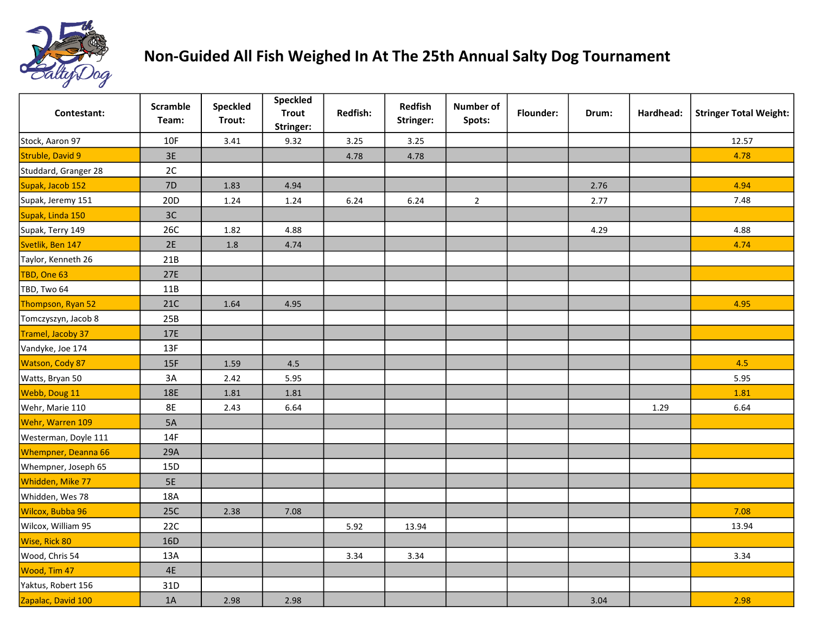

| Contestant:                | Scramble<br>Team: | Speckled<br>Trout: | Speckled<br><b>Trout</b><br>Stringer: | Redfish: | Redfish<br>Stringer: | <b>Number of</b><br>Spots: | Flounder: | Drum: | Hardhead: | <b>Stringer Total Weight:</b> |
|----------------------------|-------------------|--------------------|---------------------------------------|----------|----------------------|----------------------------|-----------|-------|-----------|-------------------------------|
| Stock, Aaron 97            | 10F               | 3.41               | 9.32                                  | 3.25     | 3.25                 |                            |           |       |           | 12.57                         |
| Struble, David 9           | 3E                |                    |                                       | 4.78     | 4.78                 |                            |           |       |           | 4.78                          |
| Studdard, Granger 28       | 2C                |                    |                                       |          |                      |                            |           |       |           |                               |
| Supak, Jacob 152           | $7D$              | 1.83               | 4.94                                  |          |                      |                            |           | 2.76  |           | 4.94                          |
| Supak, Jeremy 151          | 20 <sub>D</sub>   | 1.24               | 1.24                                  | 6.24     | 6.24                 | $\overline{2}$             |           | 2.77  |           | 7.48                          |
| Supak, Linda 150           | 3C                |                    |                                       |          |                      |                            |           |       |           |                               |
| Supak, Terry 149           | 26C               | 1.82               | 4.88                                  |          |                      |                            |           | 4.29  |           | 4.88                          |
| Svetlik, Ben 147           | 2E                | 1.8                | 4.74                                  |          |                      |                            |           |       |           | 4.74                          |
| Taylor, Kenneth 26         | 21B               |                    |                                       |          |                      |                            |           |       |           |                               |
| TBD, One 63                | 27E               |                    |                                       |          |                      |                            |           |       |           |                               |
| TBD, Two 64                | 11B               |                    |                                       |          |                      |                            |           |       |           |                               |
| Thompson, Ryan 52          | <b>21C</b>        | 1.64               | 4.95                                  |          |                      |                            |           |       |           | 4.95                          |
| Tomczyszyn, Jacob 8        | 25B               |                    |                                       |          |                      |                            |           |       |           |                               |
| Tramel, Jacoby 37          | 17E               |                    |                                       |          |                      |                            |           |       |           |                               |
| Vandyke, Joe 174           | 13F               |                    |                                       |          |                      |                            |           |       |           |                               |
| Watson, Cody 87            | 15F               | 1.59               | 4.5                                   |          |                      |                            |           |       |           | 4.5                           |
| Watts, Bryan 50            | 3A                | 2.42               | 5.95                                  |          |                      |                            |           |       |           | 5.95                          |
| Webb, Doug 11              | <b>18E</b>        | 1.81               | 1.81                                  |          |                      |                            |           |       |           | 1.81                          |
| Wehr, Marie 110            | <b>8E</b>         | 2.43               | 6.64                                  |          |                      |                            |           |       | 1.29      | 6.64                          |
| Wehr, Warren 109           | 5A                |                    |                                       |          |                      |                            |           |       |           |                               |
| Westerman, Doyle 111       | 14F               |                    |                                       |          |                      |                            |           |       |           |                               |
| <b>Whempner, Deanna 66</b> | 29A               |                    |                                       |          |                      |                            |           |       |           |                               |
| Whempner, Joseph 65        | 15D               |                    |                                       |          |                      |                            |           |       |           |                               |
| Whidden, Mike 77           | $5E$              |                    |                                       |          |                      |                            |           |       |           |                               |
| Whidden, Wes 78            | 18A               |                    |                                       |          |                      |                            |           |       |           |                               |
| Wilcox, Bubba 96           | <b>25C</b>        | 2.38               | 7.08                                  |          |                      |                            |           |       |           | 7.08                          |
| Wilcox, William 95         | 22C               |                    |                                       | 5.92     | 13.94                |                            |           |       |           | 13.94                         |
| Wise, Rick 80              | 16D               |                    |                                       |          |                      |                            |           |       |           |                               |
| Wood, Chris 54             | 13A               |                    |                                       | 3.34     | 3.34                 |                            |           |       |           | 3.34                          |
| Wood, Tim 47               | <b>4E</b>         |                    |                                       |          |                      |                            |           |       |           |                               |
| Yaktus, Robert 156         | 31D               |                    |                                       |          |                      |                            |           |       |           |                               |
| Zapalac, David 100         | 1A                | 2.98               | 2.98                                  |          |                      |                            |           | 3.04  |           | 2.98                          |